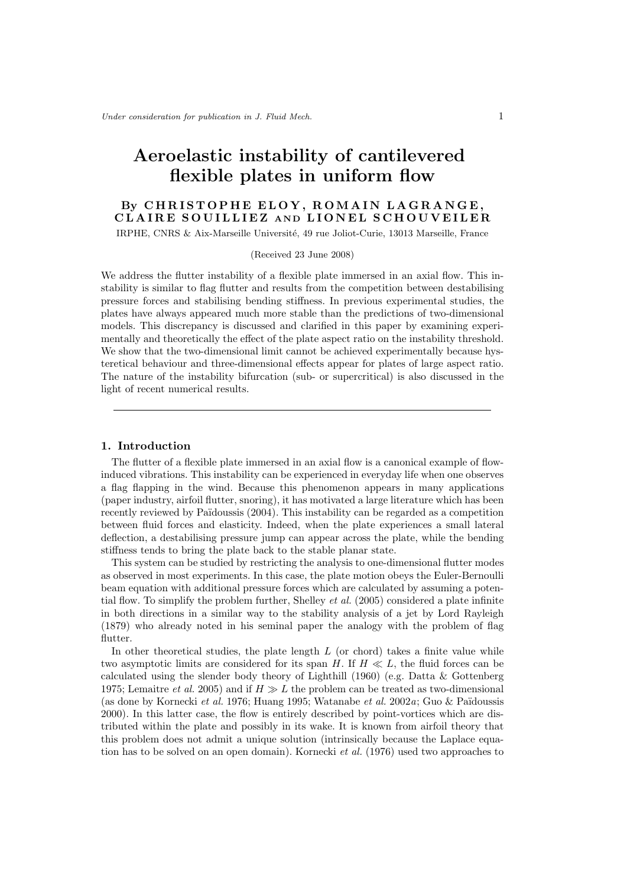# Aeroelastic instability of cantilevered flexible plates in uniform flow

# By CHRISTOPHE ELOY, ROMAIN LAGRANGE, CLAIRE SOUILLIEZ AND LIONEL SCHOUVEILER

IRPHE, CNRS & Aix-Marseille Université, 49 rue Joliot-Curie, 13013 Marseille, France

#### (Received 23 June 2008)

We address the flutter instability of a flexible plate immersed in an axial flow. This instability is similar to flag flutter and results from the competition between destabilising pressure forces and stabilising bending stiffness. In previous experimental studies, the plates have always appeared much more stable than the predictions of two-dimensional models. This discrepancy is discussed and clarified in this paper by examining experimentally and theoretically the effect of the plate aspect ratio on the instability threshold. We show that the two-dimensional limit cannot be achieved experimentally because hysteretical behaviour and three-dimensional effects appear for plates of large aspect ratio. The nature of the instability bifurcation (sub- or supercritical) is also discussed in the light of recent numerical results.

## 1. Introduction

The flutter of a flexible plate immersed in an axial flow is a canonical example of flowinduced vibrations. This instability can be experienced in everyday life when one observes a flag flapping in the wind. Because this phenomenon appears in many applications (paper industry, airfoil flutter, snoring), it has motivated a large literature which has been recently reviewed by Païdoussis  $(2004)$ . This instability can be regarded as a competition between fluid forces and elasticity. Indeed, when the plate experiences a small lateral deflection, a destabilising pressure jump can appear across the plate, while the bending stiffness tends to bring the plate back to the stable planar state.

This system can be studied by restricting the analysis to one-dimensional flutter modes as observed in most experiments. In this case, the plate motion obeys the Euler-Bernoulli beam equation with additional pressure forces which are calculated by assuming a potential flow. To simplify the problem further, Shelley *et al.* (2005) considered a plate infinite in both directions in a similar way to the stability analysis of a jet by Lord Rayleigh (1879) who already noted in his seminal paper the analogy with the problem of flag flutter.

In other theoretical studies, the plate length  $L$  (or chord) takes a finite value while two asymptotic limits are considered for its span H. If  $H \ll L$ , the fluid forces can be calculated using the slender body theory of Lighthill (1960) (e.g. Datta & Gottenberg 1975; Lemaitre *et al.* 2005) and if  $H \gg L$  the problem can be treated as two-dimensional (as done by Kornecki *et al.* 1976; Huang 1995; Watanabe *et al.* 2002*a*; Guo & Pa¨ıdoussis 2000). In this latter case, the flow is entirely described by point-vortices which are distributed within the plate and possibly in its wake. It is known from airfoil theory that this problem does not admit a unique solution (intrinsically because the Laplace equation has to be solved on an open domain). Kornecki *et al.* (1976) used two approaches to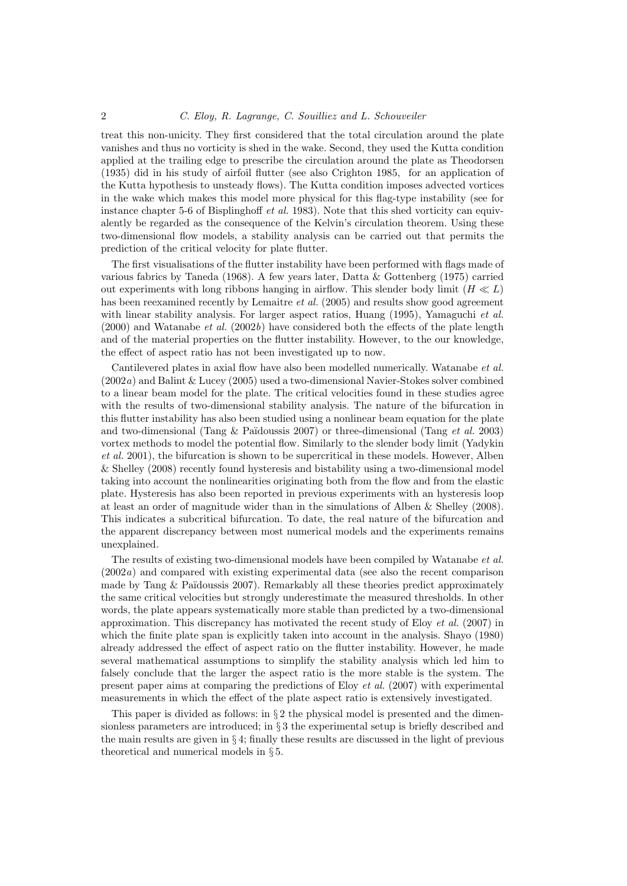#### 2 *C. Eloy, R. Lagrange, C. Souilliez and L. Schouveiler*

treat this non-unicity. They first considered that the total circulation around the plate vanishes and thus no vorticity is shed in the wake. Second, they used the Kutta condition applied at the trailing edge to prescribe the circulation around the plate as Theodorsen (1935) did in his study of airfoil flutter (see also Crighton 1985, for an application of the Kutta hypothesis to unsteady flows). The Kutta condition imposes advected vortices in the wake which makes this model more physical for this flag-type instability (see for instance chapter 5-6 of Bisplinghoff *et al.* 1983). Note that this shed vorticity can equivalently be regarded as the consequence of the Kelvin's circulation theorem. Using these two-dimensional flow models, a stability analysis can be carried out that permits the prediction of the critical velocity for plate flutter.

The first visualisations of the flutter instability have been performed with flags made of various fabrics by Taneda (1968). A few years later, Datta & Gottenberg (1975) carried out experiments with long ribbons hanging in airflow. This slender body limit  $(H \ll L)$ has been reexamined recently by Lemaitre *et al.* (2005) and results show good agreement with linear stability analysis. For larger aspect ratios, Huang (1995), Yamaguchi *et al.* (2000) and Watanabe *et al.* (2002*b*) have considered both the effects of the plate length and of the material properties on the flutter instability. However, to the our knowledge, the effect of aspect ratio has not been investigated up to now.

Cantilevered plates in axial flow have also been modelled numerically. Watanabe *et al.* (2002*a*) and Balint & Lucey (2005) used a two-dimensional Navier-Stokes solver combined to a linear beam model for the plate. The critical velocities found in these studies agree with the results of two-dimensional stability analysis. The nature of the bifurcation in this flutter instability has also been studied using a nonlinear beam equation for the plate and two-dimensional (Tang & Pa¨ıdoussis 2007) or three-dimensional (Tang *et al.* 2003) vortex methods to model the potential flow. Similarly to the slender body limit (Yadykin *et al.* 2001), the bifurcation is shown to be supercritical in these models. However, Alben & Shelley (2008) recently found hysteresis and bistability using a two-dimensional model taking into account the nonlinearities originating both from the flow and from the elastic plate. Hysteresis has also been reported in previous experiments with an hysteresis loop at least an order of magnitude wider than in the simulations of Alben & Shelley (2008). This indicates a subcritical bifurcation. To date, the real nature of the bifurcation and the apparent discrepancy between most numerical models and the experiments remains unexplained.

The results of existing two-dimensional models have been compiled by Watanabe *et al.* (2002*a*) and compared with existing experimental data (see also the recent comparison made by Tang  $&$  Païdoussis 2007). Remarkably all these theories predict approximately the same critical velocities but strongly underestimate the measured thresholds. In other words, the plate appears systematically more stable than predicted by a two-dimensional approximation. This discrepancy has motivated the recent study of Eloy *et al.* (2007) in which the finite plate span is explicitly taken into account in the analysis. Shayo (1980) already addressed the effect of aspect ratio on the flutter instability. However, he made several mathematical assumptions to simplify the stability analysis which led him to falsely conclude that the larger the aspect ratio is the more stable is the system. The present paper aims at comparing the predictions of Eloy *et al.* (2007) with experimental measurements in which the effect of the plate aspect ratio is extensively investigated.

This paper is divided as follows: in  $\S 2$  the physical model is presented and the dimensionless parameters are introduced; in  $\S 3$  the experimental setup is briefly described and the main results are given in  $\S 4$ ; finally these results are discussed in the light of previous theoretical and numerical models in § 5.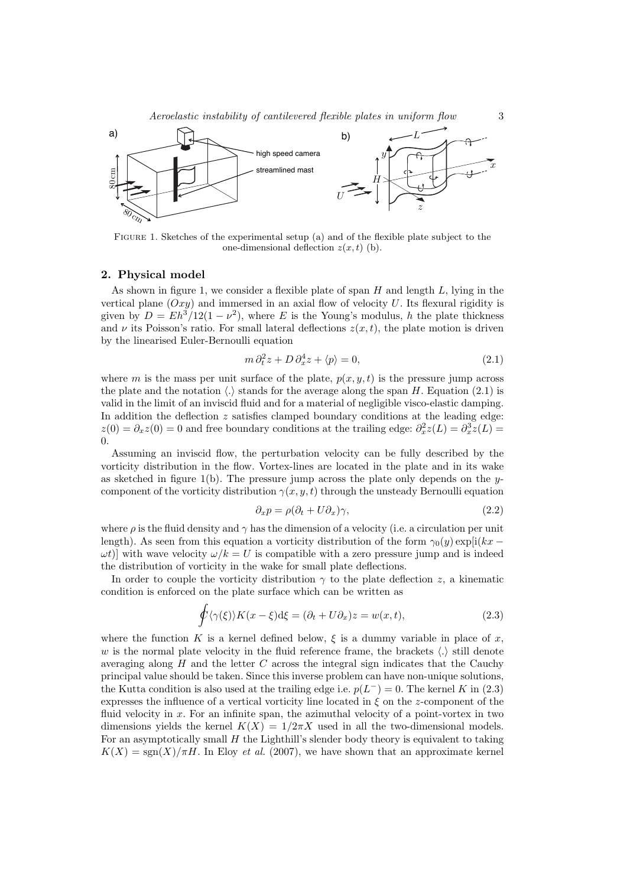*Aeroelastic instability of cantilevered flexible plates in uniform flow* 3



Figure 1. Sketches of the experimental setup (a) and of the flexible plate subject to the one-dimensional deflection  $z(x, t)$  (b).

### 2. Physical model

As shown in figure 1, we consider a flexible plate of span  $H$  and length  $L$ , lying in the vertical plane  $(Oxy)$  and immersed in an axial flow of velocity U. Its flexural rigidity is given by  $D = Eh^3/12(1 - \nu^2)$ , where E is the Young's modulus, h the plate thickness and  $\nu$  its Poisson's ratio. For small lateral deflections  $z(x, t)$ , the plate motion is driven by the linearised Euler-Bernoulli equation

$$
m \partial_t^2 z + D \partial_x^4 z + \langle p \rangle = 0, \tag{2.1}
$$

where m is the mass per unit surface of the plate,  $p(x, y, t)$  is the pressure jump across the plate and the notation  $\langle . \rangle$  stands for the average along the span H. Equation (2.1) is valid in the limit of an inviscid fluid and for a material of negligible visco-elastic damping. In addition the deflection  $z$  satisfies clamped boundary conditions at the leading edge:  $z(0) = \partial_x z(0) = 0$  and free boundary conditions at the trailing edge:  $\partial_x^2 z(L) = \partial_x^3 z(L)$ 0.

Assuming an inviscid flow, the perturbation velocity can be fully described by the vorticity distribution in the flow. Vortex-lines are located in the plate and in its wake as sketched in figure 1(b). The pressure jump across the plate only depends on the  $y$ component of the vorticity distribution  $\gamma(x, y, t)$  through the unsteady Bernoulli equation

$$
\partial_x p = \rho(\partial_t + U\partial_x)\gamma,\tag{2.2}
$$

where  $\rho$  is the fluid density and  $\gamma$  has the dimension of a velocity (i.e. a circulation per unit length). As seen from this equation a vorticity distribution of the form  $\gamma_0(y) \exp[i(kx - \theta)]$  $\omega t$ ] with wave velocity  $\omega/k = U$  is compatible with a zero pressure jump and is indeed the distribution of vorticity in the wake for small plate deflections.

In order to couple the vorticity distribution  $\gamma$  to the plate deflection z, a kinematic condition is enforced on the plate surface which can be written as

$$
\oint \langle \gamma(\xi) \rangle K(x - \xi) d\xi = (\partial_t + U \partial_x) z = w(x, t), \tag{2.3}
$$

where the function K is a kernel defined below,  $\xi$  is a dummy variable in place of x, w is the normal plate velocity in the fluid reference frame, the brackets  $\langle . \rangle$  still denote averaging along  $H$  and the letter  $C$  across the integral sign indicates that the Cauchy principal value should be taken. Since this inverse problem can have non-unique solutions, the Kutta condition is also used at the trailing edge i.e.  $p(L<sup>-</sup>) = 0$ . The kernel K in (2.3) expresses the influence of a vertical vorticity line located in  $\xi$  on the z-component of the fluid velocity in x. For an infinite span, the azimuthal velocity of a point-vortex in two dimensions yields the kernel  $K(X)=1/2\pi X$  used in all the two-dimensional models. For an asymptotically small  $H$  the Lighthill's slender body theory is equivalent to taking  $K(X) = \text{sgn}(X)/\pi H$ . In Eloy *et al.* (2007), we have shown that an approximate kernel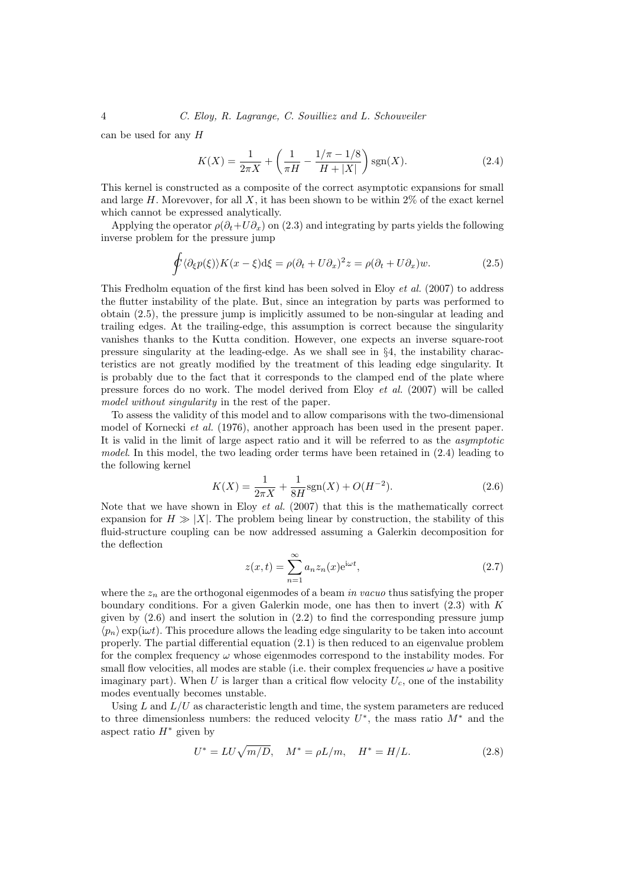4 *C. Eloy, R. Lagrange, C. Souilliez and L. Schouveiler*

can be used for any H

$$
K(X) = \frac{1}{2\pi X} + \left(\frac{1}{\pi H} - \frac{1/\pi - 1/8}{H + |X|}\right) \text{sgn}(X). \tag{2.4}
$$

This kernel is constructed as a composite of the correct asymptotic expansions for small and large  $H$ . Morevover, for all  $X$ , it has been shown to be within 2% of the exact kernel which cannot be expressed analytically.

Applying the operator  $\rho(\partial_t+U\partial_x)$  on (2.3) and integrating by parts yields the following inverse problem for the pressure jump

$$
\oint \langle \partial_{\xi} p(\xi) \rangle K(x - \xi) d\xi = \rho (\partial_t + U \partial_x)^2 z = \rho (\partial_t + U \partial_x) w.
$$
\n(2.5)

This Fredholm equation of the first kind has been solved in Eloy *et al.* (2007) to address the flutter instability of the plate. But, since an integration by parts was performed to obtain (2.5), the pressure jump is implicitly assumed to be non-singular at leading and trailing edges. At the trailing-edge, this assumption is correct because the singularity vanishes thanks to the Kutta condition. However, one expects an inverse square-root pressure singularity at the leading-edge. As we shall see in §4, the instability characteristics are not greatly modified by the treatment of this leading edge singularity. It is probably due to the fact that it corresponds to the clamped end of the plate where pressure forces do no work. The model derived from Eloy *et al.* (2007) will be called *model without singularity* in the rest of the paper.

To assess the validity of this model and to allow comparisons with the two-dimensional model of Kornecki *et al.* (1976), another approach has been used in the present paper. It is valid in the limit of large aspect ratio and it will be referred to as the *asymptotic model*. In this model, the two leading order terms have been retained in (2.4) leading to the following kernel

$$
K(X) = \frac{1}{2\pi X} + \frac{1}{8H} \text{sgn}(X) + O(H^{-2}).
$$
\n(2.6)

Note that we have shown in Eloy *et al.* (2007) that this is the mathematically correct expansion for  $H \gg |X|$ . The problem being linear by construction, the stability of this fluid-structure coupling can be now addressed assuming a Galerkin decomposition for the deflection

$$
z(x,t) = \sum_{n=1}^{\infty} a_n z_n(x) e^{i\omega t},
$$
\n(2.7)

where the  $z_n$  are the orthogonal eigenmodes of a beam *in vacuo* thus satisfying the proper boundary conditions. For a given Galerkin mode, one has then to invert  $(2.3)$  with K given by  $(2.6)$  and insert the solution in  $(2.2)$  to find the corresponding pressure jump  $\langle p_n \rangle$  exp(i $\omega t$ ). This procedure allows the leading edge singularity to be taken into account properly. The partial differential equation (2.1) is then reduced to an eigenvalue problem for the complex frequency  $\omega$  whose eigenmodes correspond to the instability modes. For small flow velocities, all modes are stable (i.e. their complex frequencies  $\omega$  have a positive imaginary part). When U is larger than a critical flow velocity  $U_c$ , one of the instability modes eventually becomes unstable.

Using L and  $L/U$  as characteristic length and time, the system parameters are reduced to three dimensionless numbers: the reduced velocity  $U^*$ , the mass ratio  $M^*$  and the aspect ratio  $H^*$  given by

$$
U^* = LU\sqrt{m/D}, \quad M^* = \rho L/m, \quad H^* = H/L.
$$
 (2.8)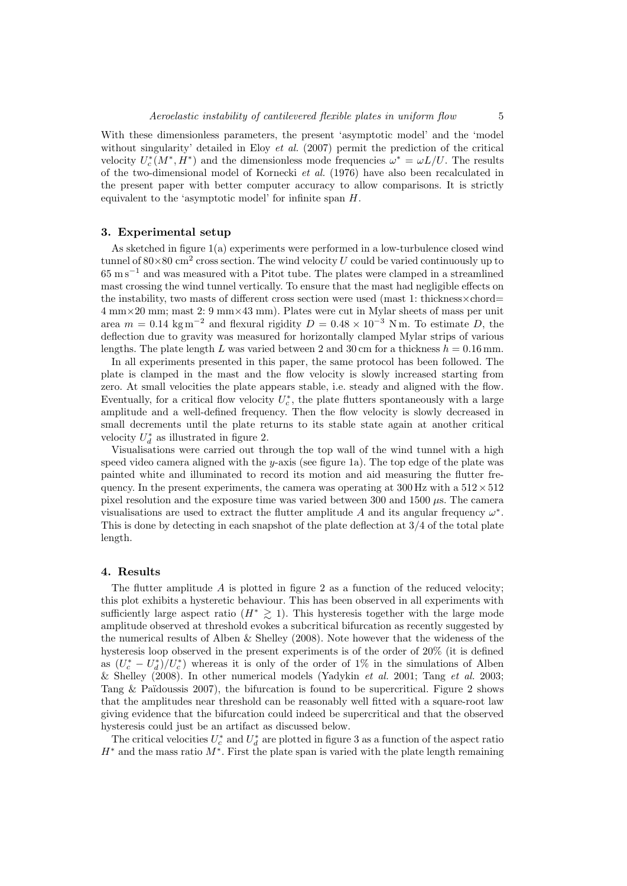With these dimensionless parameters, the present 'asymptotic model' and the 'model without singularity' detailed in Eloy *et al.* (2007) permit the prediction of the critical velocity  $U_c^*(M^*, H^*)$  and the dimensionless mode frequencies  $\omega^* = \omega L/U$ . The results of the two-dimensional model of Kornecki *et al.* (1976) have also been recalculated in the present paper with better computer accuracy to allow comparisons. It is strictly equivalent to the 'asymptotic model' for infinite span H.

#### 3. Experimental setup

As sketched in figure 1(a) experiments were performed in a low-turbulence closed wind tunnel of  $80\times80$  cm<sup>2</sup> cross section. The wind velocity U could be varied continuously up to 65 m s−<sup>1</sup> and was measured with a Pitot tube. The plates were clamped in a streamlined mast crossing the wind tunnel vertically. To ensure that the mast had negligible effects on the instability, two masts of different cross section were used (mast 1: thickness  $\times$  chord= 4 mm×20 mm; mast 2: 9 mm×43 mm). Plates were cut in Mylar sheets of mass per unit area  $m = 0.14 \text{ kg m}^{-2}$  and flexural rigidity  $D = 0.48 \times 10^{-3} \text{ N m}$ . To estimate D, the deflection due to gravity was measured for horizontally clamped Mylar strips of various lengths. The plate length L was varied between 2 and 30 cm for a thickness  $h = 0.16$  mm.

In all experiments presented in this paper, the same protocol has been followed. The plate is clamped in the mast and the flow velocity is slowly increased starting from zero. At small velocities the plate appears stable, i.e. steady and aligned with the flow. Eventually, for a critical flow velocity  $U_c^*$ , the plate flutters spontaneously with a large amplitude and a well-defined frequency. Then the flow velocity is slowly decreased in small decrements until the plate returns to its stable state again at another critical velocity  $U_d^*$  as illustrated in figure 2.

Visualisations were carried out through the top wall of the wind tunnel with a high speed video camera aligned with the  $y$ -axis (see figure 1a). The top edge of the plate was painted white and illuminated to record its motion and aid measuring the flutter frequency. In the present experiments, the camera was operating at  $300 \text{ Hz}$  with a  $512 \times 512$ pixel resolution and the exposure time was varied between 300 and 1500  $\mu$ s. The camera visualisations are used to extract the flutter amplitude A and its angular frequency  $\omega^*$ . This is done by detecting in each snapshot of the plate deflection at 3/4 of the total plate length.

#### 4. Results

The flutter amplitude  $A$  is plotted in figure 2 as a function of the reduced velocity; this plot exhibits a hysteretic behaviour. This has been observed in all experiments with sufficiently large aspect ratio ( $H^* \geq 1$ ). This hysteresis together with the large mode amplitude observed at threshold evokes a subcritical bifurcation as recently suggested by the numerical results of Alben & Shelley (2008). Note however that the wideness of the hysteresis loop observed in the present experiments is of the order of 20% (it is defined as  $(U_c^* - U_d^*)/U_c^*$  whereas it is only of the order of 1% in the simulations of Alben & Shelley (2008). In other numerical models (Yadykin *et al.* 2001; Tang *et al.* 2003; Tang  $\&$  Païdoussis 2007), the bifurcation is found to be supercritical. Figure 2 shows that the amplitudes near threshold can be reasonably well fitted with a square-root law giving evidence that the bifurcation could indeed be supercritical and that the observed hysteresis could just be an artifact as discussed below.

The critical velocities  $U_c^*$  and  $U_d^*$  are plotted in figure 3 as a function of the aspect ratio  $H^*$  and the mass ratio  $M^*$ . First the plate span is varied with the plate length remaining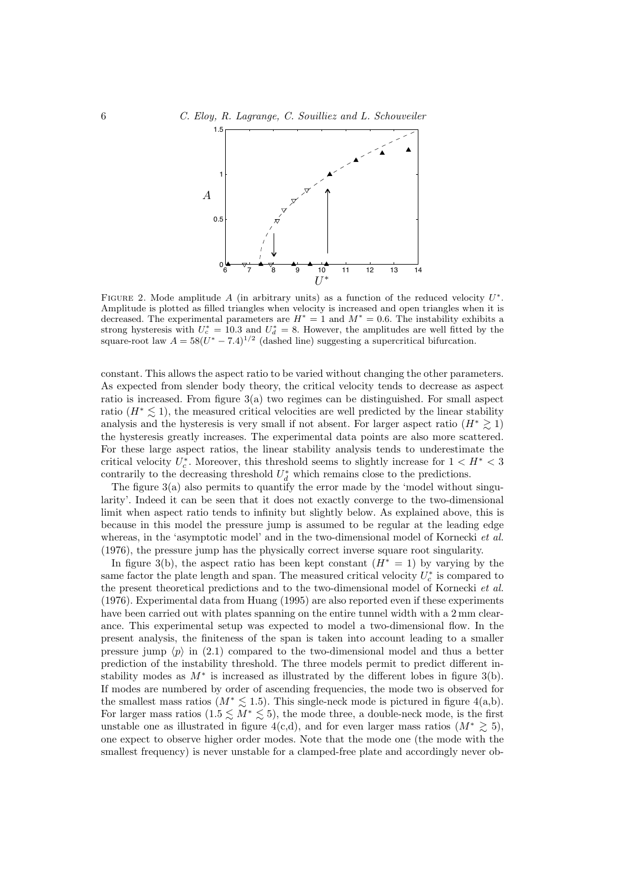

FIGURE 2. Mode amplitude A (in arbitrary units) as a function of the reduced velocity  $U^*$ . Amplitude is plotted as filled triangles when velocity is increased and open triangles when it is decreased. The experimental parameters are  $H^* = 1$  and  $M^* = 0.6$ . The instability exhibits a strong hysteresis with  $U_c^* = 10.3$  and  $U_d^* = 8$ . However, the amplitudes are well fitted by the square-root law  $A = 58(U^* - 7.4)^{1/2}$  (dashed line) suggesting a supercritical bifurcation.

constant. This allows the aspect ratio to be varied without changing the other parameters. As expected from slender body theory, the critical velocity tends to decrease as aspect ratio is increased. From figure 3(a) two regimes can be distinguished. For small aspect ratio  $(H^* \leq 1)$ , the measured critical velocities are well predicted by the linear stability analysis and the hysteresis is very small if not absent. For larger aspect ratio  $(H^* \geq 1)$ the hysteresis greatly increases. The experimental data points are also more scattered. For these large aspect ratios, the linear stability analysis tends to underestimate the critical velocity  $U_c^*$ . Moreover, this threshold seems to slightly increase for  $1 < H^* < 3$ contrarily to the decreasing threshold  $U_d^*$  which remains close to the predictions.

The figure  $3(a)$  also permits to quantify the error made by the 'model without singularity'. Indeed it can be seen that it does not exactly converge to the two-dimensional limit when aspect ratio tends to infinity but slightly below. As explained above, this is because in this model the pressure jump is assumed to be regular at the leading edge whereas, in the 'asymptotic model' and in the two-dimensional model of Kornecki *et al.* (1976), the pressure jump has the physically correct inverse square root singularity.

In figure 3(b), the aspect ratio has been kept constant  $(H^* = 1)$  by varying by the same factor the plate length and span. The measured critical velocity  $U_c^*$  is compared to the present theoretical predictions and to the two-dimensional model of Kornecki *et al.* (1976). Experimental data from Huang (1995) are also reported even if these experiments have been carried out with plates spanning on the entire tunnel width with a  $2 \text{ mm}$  clearance. This experimental setup was expected to model a two-dimensional flow. In the present analysis, the finiteness of the span is taken into account leading to a smaller pressure jump  $\langle p \rangle$  in (2.1) compared to the two-dimensional model and thus a better prediction of the instability threshold. The three models permit to predict different instability modes as  $M^*$  is increased as illustrated by the different lobes in figure 3(b). If modes are numbered by order of ascending frequencies, the mode two is observed for the smallest mass ratios ( $M^* \lesssim 1.5$ ). This single-neck mode is pictured in figure 4(a,b). For larger mass ratios  $(1.5 \n\t\leq M^* \leq 5)$ , the mode three, a double-neck mode, is the first unstable one as illustrated in figure 4(c,d), and for even larger mass ratios  $(M^* \geq 5)$ , one expect to observe higher order modes. Note that the mode one (the mode with the smallest frequency) is never unstable for a clamped-free plate and accordingly never ob-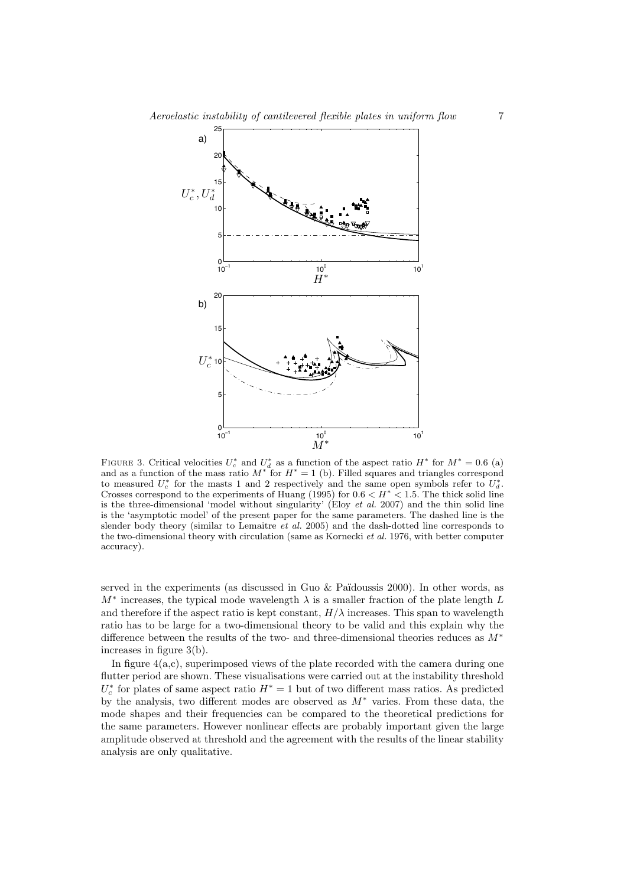

FIGURE 3. Critical velocities  $U_c^*$  and  $U_d^*$  as a function of the aspect ratio  $H^*$  for  $M^* = 0.6$  (a) and as a function of the mass ratio  $M^*$  for  $H^* = 1$  (b). Filled squares and triangles correspond to measured  $U_c^*$  for the masts 1 and 2 respectively and the same open symbols refer to  $U_d^*$ . Crosses correspond to the experiments of Huang (1995) for  $0.6 < H^* < 1.5$ . The thick solid line is the three-dimensional 'model without singularity' (Eloy *et al.* 2007) and the thin solid line is the 'asymptotic model' of the present paper for the same parameters. The dashed line is the slender body theory (similar to Lemaitre *et al.* 2005) and the dash-dotted line corresponds to the two-dimensional theory with circulation (same as Kornecki *et al.* 1976, with better computer accuracy).

served in the experiments (as discussed in Guo  $&$  Païdoussis 2000). In other words, as  $M^*$  increases, the typical mode wavelength  $\lambda$  is a smaller fraction of the plate length L and therefore if the aspect ratio is kept constant,  $H/\lambda$  increases. This span to wavelength ratio has to be large for a two-dimensional theory to be valid and this explain why the difference between the results of the two- and three-dimensional theories reduces as M<sup>∗</sup> increases in figure 3(b).

In figure  $4(a,c)$ , superimposed views of the plate recorded with the camera during one flutter period are shown. These visualisations were carried out at the instability threshold  $U_c^*$  for plates of same aspect ratio  $H^* = 1$  but of two different mass ratios. As predicted by the analysis, two different modes are observed as  $M^*$  varies. From these data, the mode shapes and their frequencies can be compared to the theoretical predictions for the same parameters. However nonlinear effects are probably important given the large amplitude observed at threshold and the agreement with the results of the linear stability analysis are only qualitative.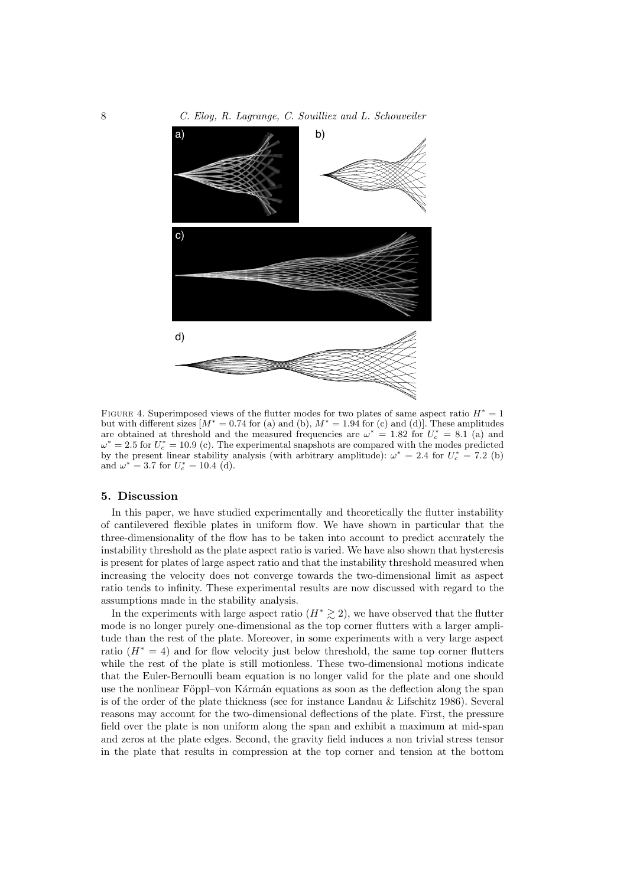

FIGURE 4. Superimposed views of the flutter modes for two plates of same aspect ratio  $H^* = 1$ but with different sizes  $[M^* = 0.74$  for (a) and (b),  $M^* = 1.94$  for (c) and (d)]. These amplitudes are obtained at threshold and the measured frequencies are  $\omega^* = 1.82$  for  $U_c^* = 8.1$  (a) and  $\omega^* = 2.5$  for  $U_c^* = 10.9$  (c). The experimental snapshots are compared with the modes predicted by the present linear stability analysis (with arbitrary amplitude):  $\omega^* = 2.4$  for  $U_c^* = 7.2$  (b) and  $\omega^* = 3.7$  for  $U_c^* = 10.4$  (d).

#### 5. Discussion

In this paper, we have studied experimentally and theoretically the flutter instability of cantilevered flexible plates in uniform flow. We have shown in particular that the three-dimensionality of the flow has to be taken into account to predict accurately the instability threshold as the plate aspect ratio is varied. We have also shown that hysteresis is present for plates of large aspect ratio and that the instability threshold measured when increasing the velocity does not converge towards the two-dimensional limit as aspect ratio tends to infinity. These experimental results are now discussed with regard to the assumptions made in the stability analysis.

In the experiments with large aspect ratio  $(H^* \geq 2)$ , we have observed that the flutter mode is no longer purely one-dimensional as the top corner flutters with a larger amplitude than the rest of the plate. Moreover, in some experiments with a very large aspect ratio  $(H^* = 4)$  and for flow velocity just below threshold, the same top corner flutters while the rest of the plate is still motionless. These two-dimensional motions indicate that the Euler-Bernoulli beam equation is no longer valid for the plate and one should use the nonlinear Föppl–von Kármán equations as soon as the deflection along the span is of the order of the plate thickness (see for instance Landau & Lifschitz 1986). Several reasons may account for the two-dimensional deflections of the plate. First, the pressure field over the plate is non uniform along the span and exhibit a maximum at mid-span and zeros at the plate edges. Second, the gravity field induces a non trivial stress tensor in the plate that results in compression at the top corner and tension at the bottom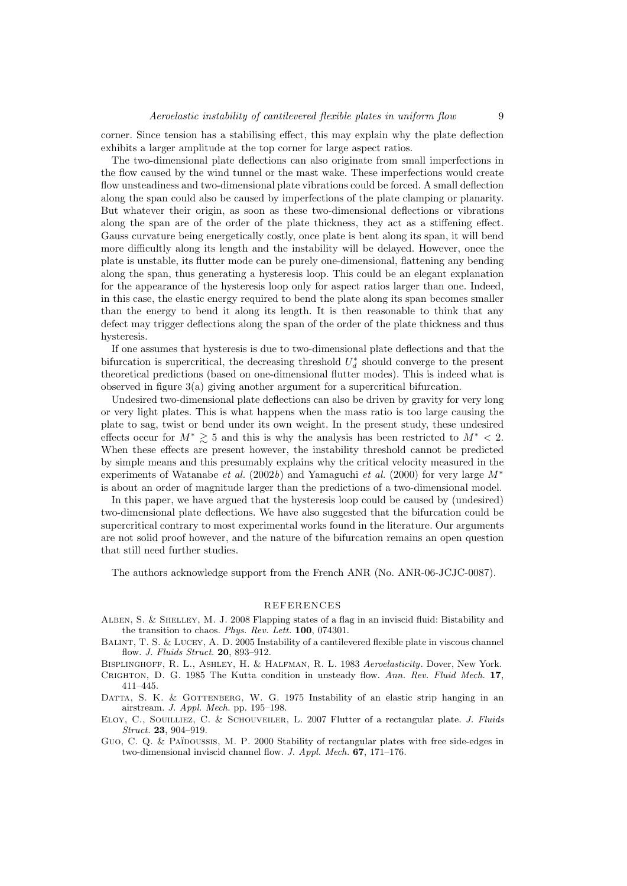corner. Since tension has a stabilising effect, this may explain why the plate deflection exhibits a larger amplitude at the top corner for large aspect ratios.

The two-dimensional plate deflections can also originate from small imperfections in the flow caused by the wind tunnel or the mast wake. These imperfections would create flow unsteadiness and two-dimensional plate vibrations could be forced. A small deflection along the span could also be caused by imperfections of the plate clamping or planarity. But whatever their origin, as soon as these two-dimensional deflections or vibrations along the span are of the order of the plate thickness, they act as a stiffening effect. Gauss curvature being energetically costly, once plate is bent along its span, it will bend more difficultly along its length and the instability will be delayed. However, once the plate is unstable, its flutter mode can be purely one-dimensional, flattening any bending along the span, thus generating a hysteresis loop. This could be an elegant explanation for the appearance of the hysteresis loop only for aspect ratios larger than one. Indeed, in this case, the elastic energy required to bend the plate along its span becomes smaller than the energy to bend it along its length. It is then reasonable to think that any defect may trigger deflections along the span of the order of the plate thickness and thus hysteresis.

If one assumes that hysteresis is due to two-dimensional plate deflections and that the bifurcation is supercritical, the decreasing threshold  $U_d^*$  should converge to the present theoretical predictions (based on one-dimensional flutter modes). This is indeed what is observed in figure 3(a) giving another argument for a supercritical bifurcation.

Undesired two-dimensional plate deflections can also be driven by gravity for very long or very light plates. This is what happens when the mass ratio is too large causing the plate to sag, twist or bend under its own weight. In the present study, these undesired effects occur for  $M^* \geq 5$  and this is why the analysis has been restricted to  $M^* < 2$ . When these effects are present however, the instability threshold cannot be predicted by simple means and this presumably explains why the critical velocity measured in the experiments of Watanabe *et al.* (2002*b*) and Yamaguchi *et al.* (2000) for very large M<sup>∗</sup> is about an order of magnitude larger than the predictions of a two-dimensional model.

In this paper, we have argued that the hysteresis loop could be caused by (undesired) two-dimensional plate deflections. We have also suggested that the bifurcation could be supercritical contrary to most experimental works found in the literature. Our arguments are not solid proof however, and the nature of the bifurcation remains an open question that still need further studies.

The authors acknowledge support from the French ANR (No. ANR-06-JCJC-0087).

#### REFERENCES

- ALBEN, S. & SHELLEY, M. J. 2008 Flapping states of a flag in an inviscid fluid: Bistability and the transition to chaos. *Phys. Rev. Lett.* 100, 074301.
- BALINT, T. S. & LUCEY, A. D. 2005 Instability of a cantilevered flexible plate in viscous channel flow. *J. Fluids Struct.* 20, 893–912.
- Bisplinghoff, R. L., Ashley, H. & Halfman, R. L. 1983 *Aeroelasticity*. Dover, New York.

Crighton, D. G. 1985 The Kutta condition in unsteady flow. *Ann. Rev. Fluid Mech.* 17, 411–445.

- DATTA, S. K. & GOTTENBERG, W. G. 1975 Instability of an elastic strip hanging in an airstream. *J. Appl. Mech.* pp. 195–198.
- Eloy, C., Souilliez, C. & Schouveiler, L. 2007 Flutter of a rectangular plate. *J. Fluids Struct.* 23, 904–919.
- Guo, C. Q. & Païnoussis, M. P. 2000 Stability of rectangular plates with free side-edges in two-dimensional inviscid channel flow. *J. Appl. Mech.* 67, 171–176.